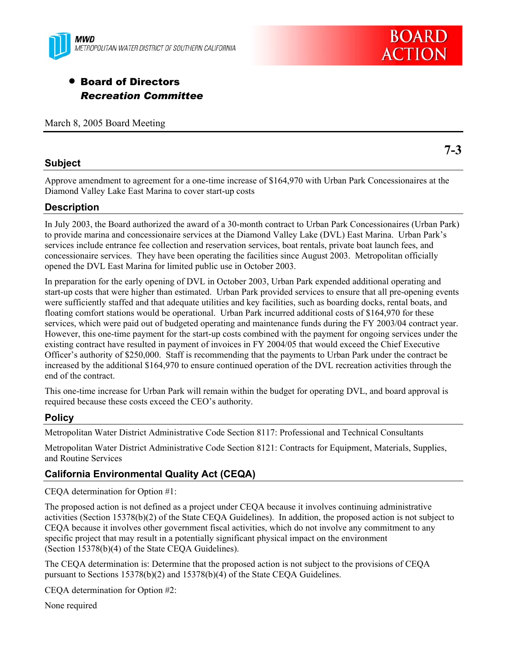



**7-3** 

# • Board of Directors *Recreation Committee*

March 8, 2005 Board Meeting

## **Subject**

Approve amendment to agreement for a one-time increase of \$164,970 with Urban Park Concessionaires at the Diamond Valley Lake East Marina to cover start-up costs

# **Description**

In July 2003, the Board authorized the award of a 30-month contract to Urban Park Concessionaires (Urban Park) to provide marina and concessionaire services at the Diamond Valley Lake (DVL) East Marina. Urban Park's services include entrance fee collection and reservation services, boat rentals, private boat launch fees, and concessionaire services. They have been operating the facilities since August 2003. Metropolitan officially opened the DVL East Marina for limited public use in October 2003.

In preparation for the early opening of DVL in October 2003, Urban Park expended additional operating and start-up costs that were higher than estimated. Urban Park provided services to ensure that all pre-opening events were sufficiently staffed and that adequate utilities and key facilities, such as boarding docks, rental boats, and floating comfort stations would be operational. Urban Park incurred additional costs of \$164,970 for these services, which were paid out of budgeted operating and maintenance funds during the FY 2003/04 contract year. However, this one-time payment for the start-up costs combined with the payment for ongoing services under the existing contract have resulted in payment of invoices in FY 2004/05 that would exceed the Chief Executive Officer's authority of \$250,000. Staff is recommending that the payments to Urban Park under the contract be increased by the additional \$164,970 to ensure continued operation of the DVL recreation activities through the end of the contract.

This one-time increase for Urban Park will remain within the budget for operating DVL, and board approval is required because these costs exceed the CEO's authority.

# **Policy**

Metropolitan Water District Administrative Code Section 8117: Professional and Technical Consultants

Metropolitan Water District Administrative Code Section 8121: Contracts for Equipment, Materials, Supplies, and Routine Services

# **California Environmental Quality Act (CEQA)**

CEQA determination for Option #1:

The proposed action is not defined as a project under CEQA because it involves continuing administrative activities (Section 15378(b)(2) of the State CEQA Guidelines). In addition, the proposed action is not subject to CEQA because it involves other government fiscal activities, which do not involve any commitment to any specific project that may result in a potentially significant physical impact on the environment (Section 15378(b)(4) of the State CEQA Guidelines).

The CEQA determination is: Determine that the proposed action is not subject to the provisions of CEQA pursuant to Sections 15378(b)(2) and 15378(b)(4) of the State CEQA Guidelines.

CEQA determination for Option #2:

None required